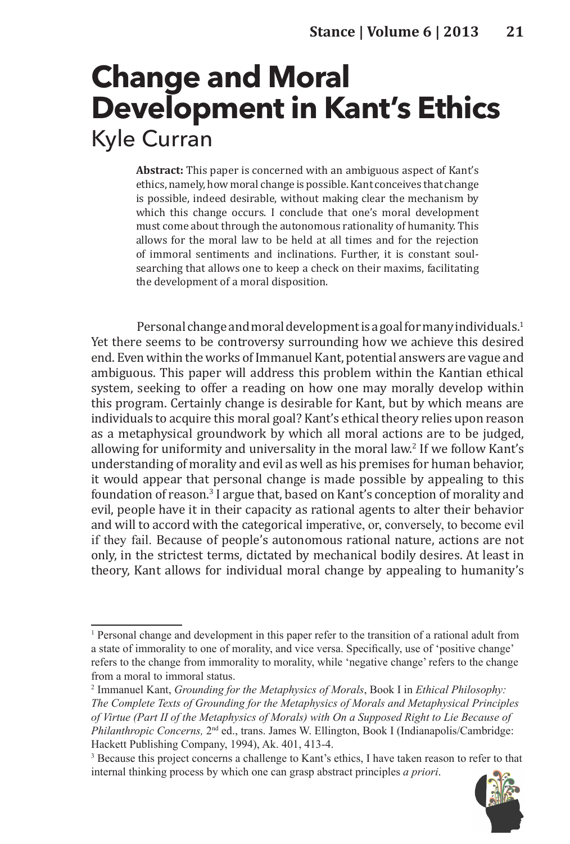## **Change and Moral Development in Kant's Ethics** Kyle Curran

**Abstract:** This paper is concerned with an ambiguous aspect of Kant's ethics, namely, how moral change is possible. Kant conceives that change is possible, indeed desirable, without making clear the mechanism by which this change occurs. I conclude that one's moral development must come about through the autonomous rationality of humanity. This allows for the moral law to be held at all times and for the rejection of immoral sentiments and inclinations. Further, it is constant soulsearching that allows one to keep a check on their maxims, facilitating the development of a moral disposition.

Personal change and moral development is a goal for many individuals.<sup>1</sup> Yet there seems to be controversy surrounding how we achieve this desired end. Even within the works of Immanuel Kant, potential answers are vague and ambiguous. This paper will address this problem within the Kantian ethical system, seeking to offer a reading on how one may morally develop within this program. Certainly change is desirable for Kant, but by which means are individuals to acquire this moral goal? Kant's ethical theory relies upon reason as a metaphysical groundwork by which all moral actions are to be judged, allowing for uniformity and universality in the moral law.<sup>2</sup> If we follow Kant's understanding of morality and evil as well as his premises for human behavior, it would appear that personal change is made possible by appealing to this foundation of reason.3 I argue that, based on Kant's conception of morality and evil, people have it in their capacity as rational agents to alter their behavior and will to accord with the categorical imperative, or, conversely, to become evil if they fail. Because of people's autonomous rational nature, actions are not only, in the strictest terms, dictated by mechanical bodily desires. At least in theory, Kant allows for individual moral change by appealing to humanity's

<sup>&</sup>lt;sup>3</sup> Because this project concerns a challenge to Kant's ethics, I have taken reason to refer to that internal thinking process by which one can grasp abstract principles *a priori*.



<sup>1</sup> Personal change and development in this paper refer to the transition of a rational adult from a state of immorality to one of morality, and vice versa. Specifically, use of 'positive change' refers to the change from immorality to morality, while 'negative change' refers to the change from a moral to immoral status.

<sup>2</sup> Immanuel Kant, *Grounding for the Metaphysics of Morals*, Book I in *Ethical Philosophy: The Complete Texts of Grounding for the Metaphysics of Morals and Metaphysical Principles of Virtue (Part II of the Metaphysics of Morals) with On a Supposed Right to Lie Because of Philanthropic Concerns*,  $2<sup>nd</sup>$  ed., trans. James W. Ellington, Book I (Indianapolis/Cambridge: Hackett Publishing Company, 1994), Ak. 401, 413-4.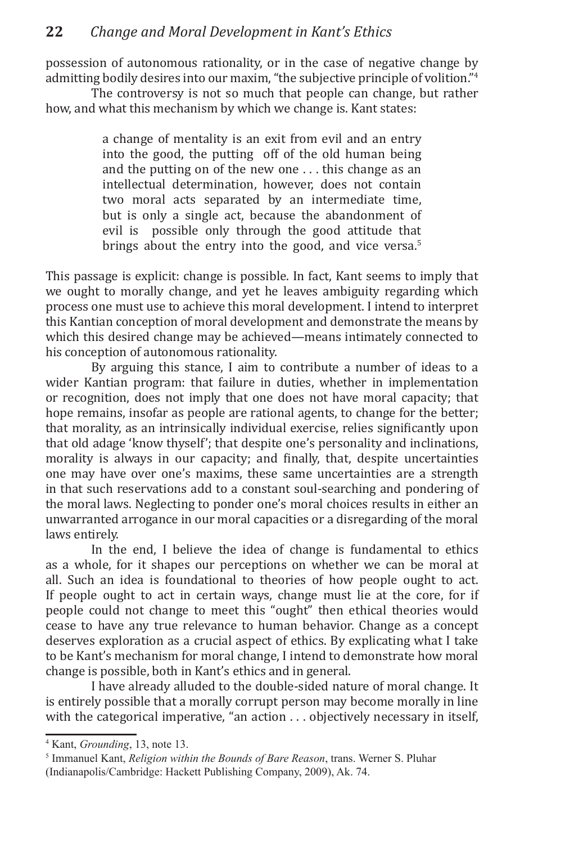possession of autonomous rationality, or in the case of negative change by admitting bodily desires into our maxim, "the subjective principle of volition."<sup>4</sup>

The controversy is not so much that people can change, but rather how, and what this mechanism by which we change is. Kant states:

> a change of mentality is an exit from evil and an entry into the good, the putting off of the old human being and the putting on of the new one . . . this change as an intellectual determination, however, does not contain two moral acts separated by an intermediate time, but is only a single act, because the abandonment of evil is possible only through the good attitude that brings about the entry into the good, and vice versa. $5$

This passage is explicit: change is possible. In fact, Kant seems to imply that we ought to morally change, and yet he leaves ambiguity regarding which process one must use to achieve this moral development. I intend to interpret this Kantian conception of moral development and demonstrate the means by which this desired change may be achieved—means intimately connected to his conception of autonomous rationality.

By arguing this stance, I aim to contribute a number of ideas to a wider Kantian program: that failure in duties, whether in implementation or recognition, does not imply that one does not have moral capacity; that hope remains, insofar as people are rational agents, to change for the better; that morality, as an intrinsically individual exercise, relies significantly upon that old adage 'know thyself'; that despite one's personality and inclinations, morality is always in our capacity; and finally, that, despite uncertainties one may have over one's maxims, these same uncertainties are a strength in that such reservations add to a constant soul-searching and pondering of the moral laws. Neglecting to ponder one's moral choices results in either an unwarranted arrogance in our moral capacities or a disregarding of the moral laws entirely.

In the end, I believe the idea of change is fundamental to ethics as a whole, for it shapes our perceptions on whether we can be moral at all. Such an idea is foundational to theories of how people ought to act. If people ought to act in certain ways, change must lie at the core, for if people could not change to meet this "ought" then ethical theories would cease to have any true relevance to human behavior. Change as a concept deserves exploration as a crucial aspect of ethics. By explicating what I take to be Kant's mechanism for moral change, I intend to demonstrate how moral change is possible, both in Kant's ethics and in general.

I have already alluded to the double-sided nature of moral change. It is entirely possible that a morally corrupt person may become morally in line with the categorical imperative, "an action . . . objectively necessary in itself,

<sup>&</sup>lt;sup>4</sup> Kant, *Grounding*, 13, note 13.<br><sup>5</sup> Immanuel Kant, *Religion withi* 

<sup>&</sup>lt;sup>5</sup> Immanuel Kant, *Religion within the Bounds of Bare Reason*, trans. Werner S. Pluhar (Indianapolis/Cambridge: Hackett Publishing Company, 2009), Ak. 74.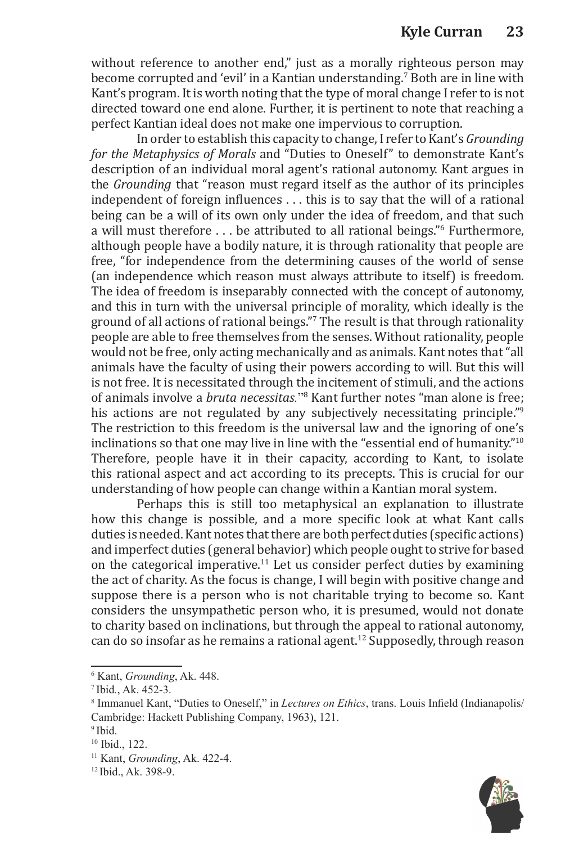without reference to another end," just as a morally righteous person may become corrupted and 'evil' in a Kantian understanding.7 Both are in line with Kant's program. It is worth noting that the type of moral change I refer to is not directed toward one end alone. Further, it is pertinent to note that reaching a perfect Kantian ideal does not make one impervious to corruption.

In order to establish this capacity to change, I refer to Kant's *Grounding for the Metaphysics of Morals* and "Duties to Oneself" to demonstrate Kant's description of an individual moral agent's rational autonomy. Kant argues in the *Grounding* that "reason must regard itself as the author of its principles independent of foreign influences . . . this is to say that the will of a rational being can be a will of its own only under the idea of freedom, and that such a will must therefore . . . be attributed to all rational beings."6 Furthermore, although people have a bodily nature, it is through rationality that people are free, "for independence from the determining causes of the world of sense (an independence which reason must always attribute to itself) is freedom. The idea of freedom is inseparably connected with the concept of autonomy, and this in turn with the universal principle of morality, which ideally is the ground of all actions of rational beings."7 The result is that through rationality people are able to free themselves from the senses. Without rationality, people would not be free, only acting mechanically and as animals. Kant notes that "all animals have the faculty of using their powers according to will. But this will is not free. It is necessitated through the incitement of stimuli, and the actions of animals involve a *bruta necessitas.*"<sup>8</sup> Kant further notes "man alone is free; his actions are not regulated by any subjectively necessitating principle."<sup>9</sup> The restriction to this freedom is the universal law and the ignoring of one's inclinations so that one may live in line with the "essential end of humanity."<sup>10</sup> Therefore, people have it in their capacity, according to Kant, to isolate this rational aspect and act according to its precepts. This is crucial for our understanding of how people can change within a Kantian moral system.

Perhaps this is still too metaphysical an explanation to illustrate how this change is possible, and a more specific look at what Kant calls duties is needed. Kant notes that there are both perfect duties (specific actions) and imperfect duties (general behavior) which people ought to strive for based on the categorical imperative.<sup>11</sup> Let us consider perfect duties by examining the act of charity. As the focus is change, I will begin with positive change and suppose there is a person who is not charitable trying to become so. Kant considers the unsympathetic person who, it is presumed, would not donate to charity based on inclinations, but through the appeal to rational autonomy, can do so insofar as he remains a rational agent.<sup>12</sup> Supposedly, through reason



<sup>6</sup> Kant, *Grounding*, Ak. 448.

<sup>7</sup> Ibid*.*, Ak. 452-3.

<sup>8</sup> Immanuel Kant, "Duties to Oneself," in *Lectures on Ethics*, trans. Louis Infield (Indianapolis/ Cambridge: Hackett Publishing Company, 1963), 121.

<sup>&</sup>lt;sup>9</sup> Ibid.

<sup>10</sup> Ibid., 122.

<sup>11</sup> Kant, *Grounding*, Ak. 422-4.

<sup>12</sup> Ibid., Ak. 398-9.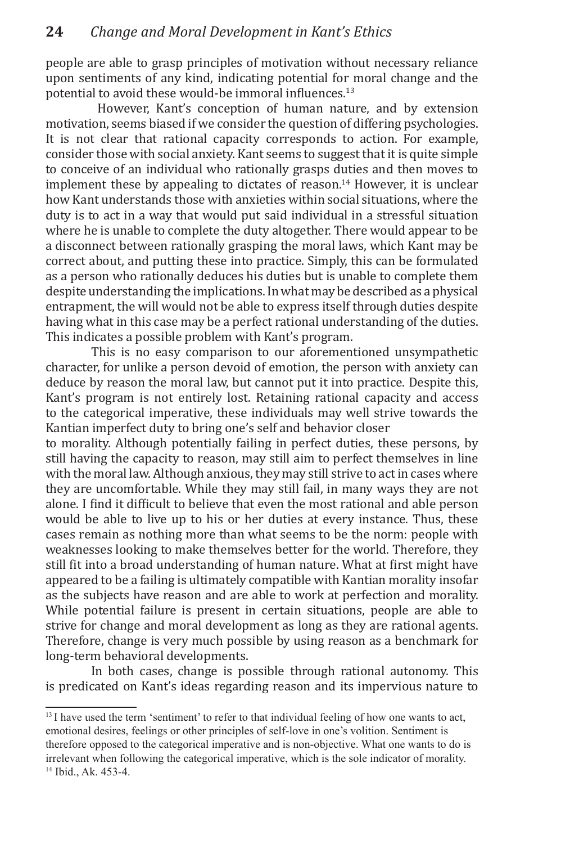people are able to grasp principles of motivation without necessary reliance upon sentiments of any kind, indicating potential for moral change and the potential to avoid these would-be immoral influences.<sup>13</sup>

However, Kant's conception of human nature, and by extension motivation, seems biased if we consider the question of differing psychologies. It is not clear that rational capacity corresponds to action. For example, consider those with social anxiety. Kant seems to suggest that it is quite simple to conceive of an individual who rationally grasps duties and then moves to implement these by appealing to dictates of reason.<sup>14</sup> However, it is unclear how Kant understands those with anxieties within social situations, where the duty is to act in a way that would put said individual in a stressful situation where he is unable to complete the duty altogether. There would appear to be a disconnect between rationally grasping the moral laws, which Kant may be correct about, and putting these into practice. Simply, this can be formulated as a person who rationally deduces his duties but is unable to complete them despite understanding the implications. In what may be described as a physical entrapment, the will would not be able to express itself through duties despite having what in this case may be a perfect rational understanding of the duties. This indicates a possible problem with Kant's program.

This is no easy comparison to our aforementioned unsympathetic character, for unlike a person devoid of emotion, the person with anxiety can deduce by reason the moral law, but cannot put it into practice. Despite this, Kant's program is not entirely lost. Retaining rational capacity and access to the categorical imperative, these individuals may well strive towards the Kantian imperfect duty to bring one's self and behavior closer

to morality. Although potentially failing in perfect duties, these persons, by still having the capacity to reason, may still aim to perfect themselves in line with the moral law. Although anxious, they may still strive to act in cases where they are uncomfortable. While they may still fail, in many ways they are not alone. I find it difficult to believe that even the most rational and able person would be able to live up to his or her duties at every instance. Thus, these cases remain as nothing more than what seems to be the norm: people with weaknesses looking to make themselves better for the world. Therefore, they still fit into a broad understanding of human nature. What at first might have appeared to be a failing is ultimately compatible with Kantian morality insofar as the subjects have reason and are able to work at perfection and morality. While potential failure is present in certain situations, people are able to strive for change and moral development as long as they are rational agents. Therefore, change is very much possible by using reason as a benchmark for long-term behavioral developments.

In both cases, change is possible through rational autonomy. This is predicated on Kant's ideas regarding reason and its impervious nature to

<sup>&</sup>lt;sup>13</sup> I have used the term 'sentiment' to refer to that individual feeling of how one wants to act, emotional desires, feelings or other principles of self-love in one's volition. Sentiment is therefore opposed to the categorical imperative and is non-objective. What one wants to do is irrelevant when following the categorical imperative, which is the sole indicator of morality. 14 Ibid., Ak. 453-4.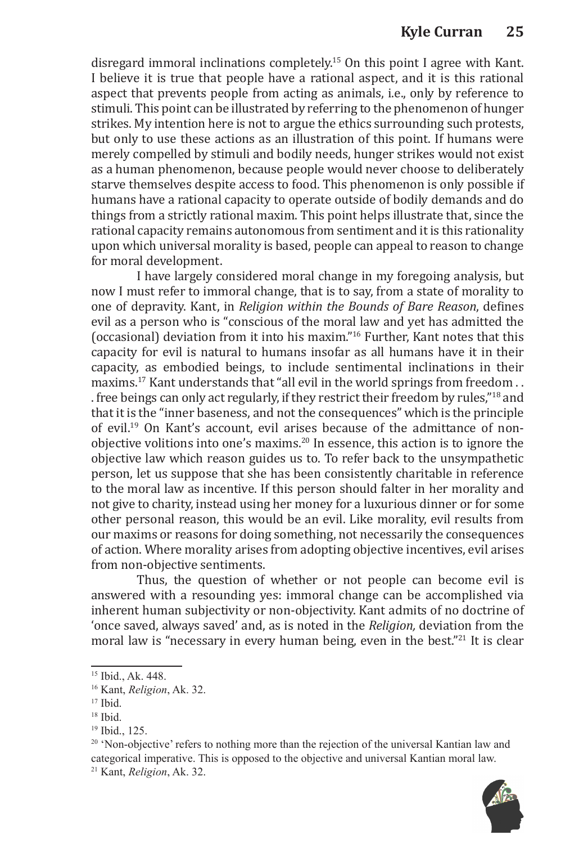disregard immoral inclinations completely.15 On this point I agree with Kant. I believe it is true that people have a rational aspect, and it is this rational aspect that prevents people from acting as animals, i.e., only by reference to stimuli. This point can be illustrated by referring to the phenomenon of hunger strikes. My intention here is not to argue the ethics surrounding such protests, but only to use these actions as an illustration of this point. If humans were merely compelled by stimuli and bodily needs, hunger strikes would not exist as a human phenomenon, because people would never choose to deliberately starve themselves despite access to food. This phenomenon is only possible if humans have a rational capacity to operate outside of bodily demands and do things from a strictly rational maxim. This point helps illustrate that, since the rational capacity remains autonomous from sentiment and it is this rationality upon which universal morality is based, people can appeal to reason to change for moral development.

I have largely considered moral change in my foregoing analysis, but now I must refer to immoral change, that is to say, from a state of morality to one of depravity. Kant, in *Religion within the Bounds of Bare Reason*, defines evil as a person who is "conscious of the moral law and yet has admitted the (occasional) deviation from it into his maxim."16 Further, Kant notes that this capacity for evil is natural to humans insofar as all humans have it in their capacity, as embodied beings, to include sentimental inclinations in their maxims.<sup>17</sup> Kant understands that "all evil in the world springs from freedom . . . free beings can only act regularly, if they restrict their freedom by rules,"18 and that it is the "inner baseness, and not the consequences" which is the principle of evil.19 On Kant's account, evil arises because of the admittance of nonobjective volitions into one's maxims.<sup>20</sup> In essence, this action is to ignore the objective law which reason guides us to. To refer back to the unsympathetic person, let us suppose that she has been consistently charitable in reference to the moral law as incentive. If this person should falter in her morality and not give to charity, instead using her money for a luxurious dinner or for some other personal reason, this would be an evil. Like morality, evil results from our maxims or reasons for doing something, not necessarily the consequences of action. Where morality arises from adopting objective incentives, evil arises from non-objective sentiments.

Thus, the question of whether or not people can become evil is answered with a resounding yes: immoral change can be accomplished via inherent human subjectivity or non-objectivity. Kant admits of no doctrine of 'once saved, always saved' and, as is noted in the *Religion,* deviation from the moral law is "necessary in every human being, even in the best."<sup>21</sup> It is clear

 $20$  'Non-objective' refers to nothing more than the rejection of the universal Kantian law and categorical imperative. This is opposed to the objective and universal Kantian moral law. 21 Kant, *Religion*, Ak. 32.



<sup>15</sup> Ibid., Ak. 448.

<sup>16</sup> Kant, *Religion*, Ak. 32.

<sup>&</sup>lt;sup>17</sup> Ibid.

<sup>18</sup> Ibid.

<sup>19</sup> Ibid., 125.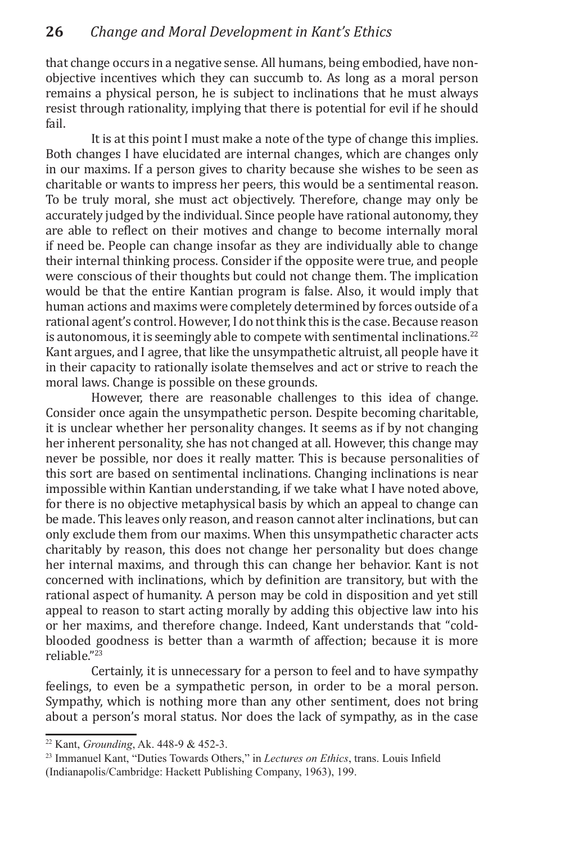that change occurs in a negative sense. All humans, being embodied, have nonobjective incentives which they can succumb to. As long as a moral person remains a physical person, he is subject to inclinations that he must always resist through rationality, implying that there is potential for evil if he should fail.

It is at this point I must make a note of the type of change this implies. Both changes I have elucidated are internal changes, which are changes only in our maxims. If a person gives to charity because she wishes to be seen as charitable or wants to impress her peers, this would be a sentimental reason. To be truly moral, she must act objectively. Therefore, change may only be accurately judged by the individual. Since people have rational autonomy, they are able to reflect on their motives and change to become internally moral if need be. People can change insofar as they are individually able to change their internal thinking process. Consider if the opposite were true, and people were conscious of their thoughts but could not change them. The implication would be that the entire Kantian program is false. Also, it would imply that human actions and maxims were completely determined by forces outside of a rational agent's control. However, I do not think this is the case. Because reason is autonomous, it is seemingly able to compete with sentimental inclinations.<sup>22</sup> Kant argues, and I agree, that like the unsympathetic altruist, all people have it in their capacity to rationally isolate themselves and act or strive to reach the moral laws. Change is possible on these grounds.

However, there are reasonable challenges to this idea of change. Consider once again the unsympathetic person. Despite becoming charitable, it is unclear whether her personality changes. It seems as if by not changing her inherent personality, she has not changed at all. However, this change may never be possible, nor does it really matter. This is because personalities of this sort are based on sentimental inclinations. Changing inclinations is near impossible within Kantian understanding, if we take what I have noted above, for there is no objective metaphysical basis by which an appeal to change can be made. This leaves only reason, and reason cannot alter inclinations, but can only exclude them from our maxims. When this unsympathetic character acts charitably by reason, this does not change her personality but does change her internal maxims, and through this can change her behavior. Kant is not concerned with inclinations, which by definition are transitory, but with the rational aspect of humanity. A person may be cold in disposition and yet still appeal to reason to start acting morally by adding this objective law into his or her maxims, and therefore change. Indeed, Kant understands that "coldblooded goodness is better than a warmth of affection; because it is more reliable."23

Certainly, it is unnecessary for a person to feel and to have sympathy feelings, to even be a sympathetic person, in order to be a moral person. Sympathy, which is nothing more than any other sentiment, does not bring about a person's moral status. Nor does the lack of sympathy, as in the case

<sup>22</sup> Kant, *Grounding*, Ak. 448-9 & 452-3.

<sup>23</sup> Immanuel Kant, "Duties Towards Others," in *Lectures on Ethics*, trans. Louis Infield (Indianapolis/Cambridge: Hackett Publishing Company, 1963), 199.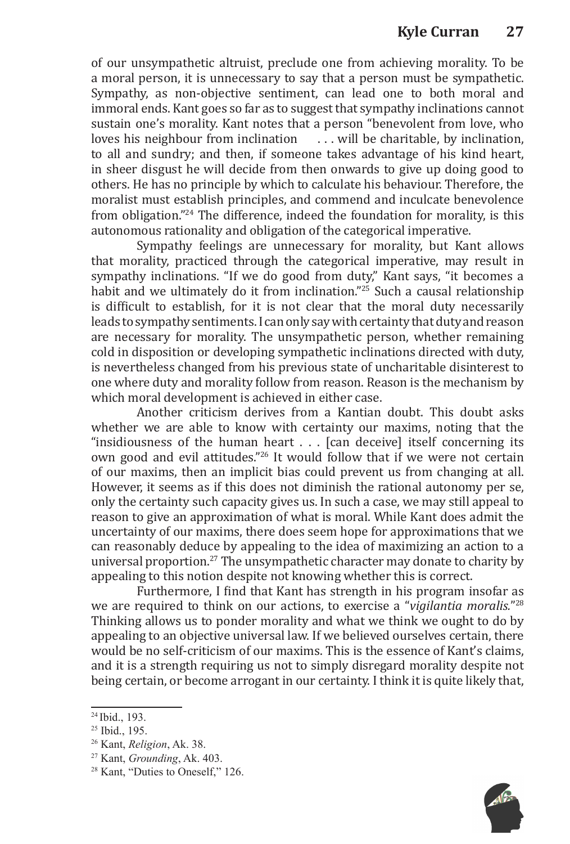of our unsympathetic altruist, preclude one from achieving morality. To be a moral person, it is unnecessary to say that a person must be sympathetic. Sympathy, as non-objective sentiment, can lead one to both moral and immoral ends. Kant goes so far as to suggest that sympathy inclinations cannot sustain one's morality. Kant notes that a person "benevolent from love, who loves his neighbour from inclination . . . . will be charitable, by inclination, loves his neighbour from inclination to all and sundry; and then, if someone takes advantage of his kind heart, in sheer disgust he will decide from then onwards to give up doing good to others. He has no principle by which to calculate his behaviour. Therefore, the moralist must establish principles, and commend and inculcate benevolence from obligation."24 The difference, indeed the foundation for morality, is this autonomous rationality and obligation of the categorical imperative.

Sympathy feelings are unnecessary for morality, but Kant allows that morality, practiced through the categorical imperative, may result in sympathy inclinations. "If we do good from duty," Kant says, "it becomes a habit and we ultimately do it from inclination."<sup>25</sup> Such a causal relationship is difficult to establish, for it is not clear that the moral duty necessarily leads to sympathy sentiments. I can only say with certainty that duty and reason are necessary for morality. The unsympathetic person, whether remaining cold in disposition or developing sympathetic inclinations directed with duty, is nevertheless changed from his previous state of uncharitable disinterest to one where duty and morality follow from reason. Reason is the mechanism by which moral development is achieved in either case.

Another criticism derives from a Kantian doubt. This doubt asks whether we are able to know with certainty our maxims, noting that the "insidiousness of the human heart . . . [can deceive] itself concerning its own good and evil attitudes."26 It would follow that if we were not certain of our maxims, then an implicit bias could prevent us from changing at all. However, it seems as if this does not diminish the rational autonomy per se, only the certainty such capacity gives us. In such a case, we may still appeal to reason to give an approximation of what is moral. While Kant does admit the uncertainty of our maxims, there does seem hope for approximations that we can reasonably deduce by appealing to the idea of maximizing an action to a universal proportion.<sup>27</sup> The unsympathetic character may donate to charity by appealing to this notion despite not knowing whether this is correct.

Furthermore, I find that Kant has strength in his program insofar as we are required to think on our actions, to exercise a "*vigilantia moralis.*"28 Thinking allows us to ponder morality and what we think we ought to do by appealing to an objective universal law. If we believed ourselves certain, there would be no self-criticism of our maxims. This is the essence of Kant's claims, and it is a strength requiring us not to simply disregard morality despite not being certain, or become arrogant in our certainty. I think it is quite likely that,



<sup>24</sup> Ibid., 193.

<sup>25</sup> Ibid., 195.

<sup>26</sup> Kant, *Religion*, Ak. 38.

<sup>27</sup> Kant, *Grounding*, Ak. 403.

<sup>&</sup>lt;sup>28</sup> Kant, "Duties to Oneself," 126.